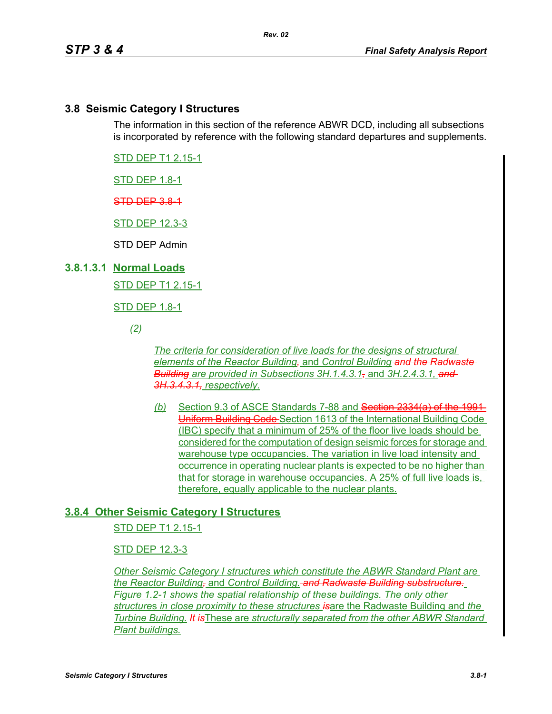# **3.8 Seismic Category I Structures**

The information in this section of the reference ABWR DCD, including all subsections is incorporated by reference with the following standard departures and supplements.

STD DEP T1 2.15-1

STD DEP 1.8-1

STD DEP 3.8-1

STD DEP 12.3-3

STD DEP Admin

### **3.8.1.3.1 Normal Loads**

STD DEP T1 2.15-1

STD DEP 1.8-1

*(2)*

*The criteria for consideration of live loads for the designs of structural elements of the Reactor Building,* and *Control Building and the Radwaste Building are provided in Subsections 3H.1.4.3.1,* and *3H.2.4.3.1, and 3H.3.4.3.1, respectively.*

*(b)* Section 9.3 of ASCE Standards 7-88 and Section 2334(a) of the 1991 Uniform Building Code Section 1613 of the International Building Code (IBC) specify that a minimum of 25% of the floor live loads should be considered for the computation of design seismic forces for storage and warehouse type occupancies. The variation in live load intensity and occurrence in operating nuclear plants is expected to be no higher than that for storage in warehouse occupancies. A 25% of full live loads is, therefore, equally applicable to the nuclear plants.

## **3.8.4 Other Seismic Category I Structures**

STD DEP T1 2.15-1

### STD DEP 12.3-3

*Other Seismic Category I structures which constitute the ABWR Standard Plant are the Reactor Building,* and *Control Building. and Radwaste Building substructure. Figure 1.2-1 shows the spatial relationship of these buildings. The only other structure*s *in close proximity to these structures is*are the Radwaste Building and *the Turbine Building. It is*These are *structurally separated from the other ABWR Standard Plant buildings.*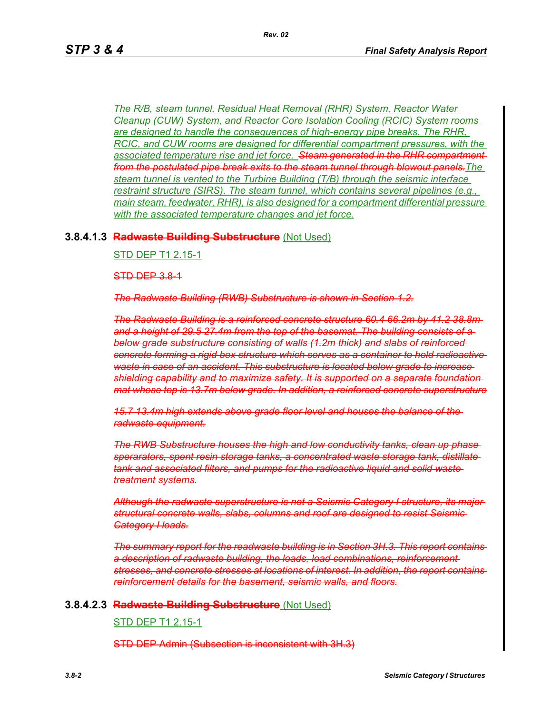*The R/B, steam tunnel, Residual Heat Removal (RHR) System, Reactor Water Cleanup (CUW) System, and Reactor Core Isolation Cooling (RCIC) System rooms are designed to handle the consequences of high-energy pipe breaks. The RHR, RCIC, and CUW rooms are designed for differential compartment pressures, with the associated temperature rise and jet force. Steam generated in the RHR compartment from the postulated pipe break exits to the steam tunnel through blowout panels.The steam tunnel is vented to the Turbine Building (T/B) through the seismic interface restraint structure (SIRS). The steam tunnel, which contains several pipelines (e.g., main steam, feedwater, RHR), is also designed for a compartment differential pressure with the associated temperature changes and jet force.*

### **3.8.4.1.3 Radwaste Building Substructure** (Not Used)

#### STD DEP T1 2.15-1

STD DEP 3.8-1

*The Radwaste Building (RWB) Substructure is shown in Section 1.2.*

*The Radwaste Building is a reinforced concrete structure 60.4 66.2m by 41.2 38.8m and a height of 29.5 27.4m from the top of the basemat. The building consists of a below grade substructure consisting of walls (1.2m thick) and slabs of reinforced concrete forming a rigid box structure which serves as a container to hold radioactive waste in case of an accident. This substructure is located below grade to increase shielding capability and to maximize safety. It is supported on a separate foundation mat whose top is 13.7m below grade. In addition, a reinforced concrete superstructure*

*15.7 13.4m high extends above grade floor level and houses the balance of the radwaste equipment.*

*The RWB Substructure houses the high and low conductivity tanks, clean up phase sperarators, spent resin storage tanks, a concentrated waste storage tank, distillate tank and associated filters, and pumps for the radioactive liquid and solid waste treatment systems.*

*Although the radwaste superstructure is not a Seismic Category I structure, its major structural concrete walls, slabs, columns and roof are designed to resist Seismic Category I loads.*

*The summary report for the readwaste building is in Section 3H.3. This report contains a description of radwaste building, the loads, load combinations, reinforcement stresses, and concrete stresses at locations of interest. In addition, the report contains reinforcement details for the basement, seismic walls, and floors.*

### **3.8.4.2.3 Radwaste Building Substructure** (Not Used)

#### STD DEP T1 2.15-1

STD DEP Admin (Subsection is inconsistent with 3H.3)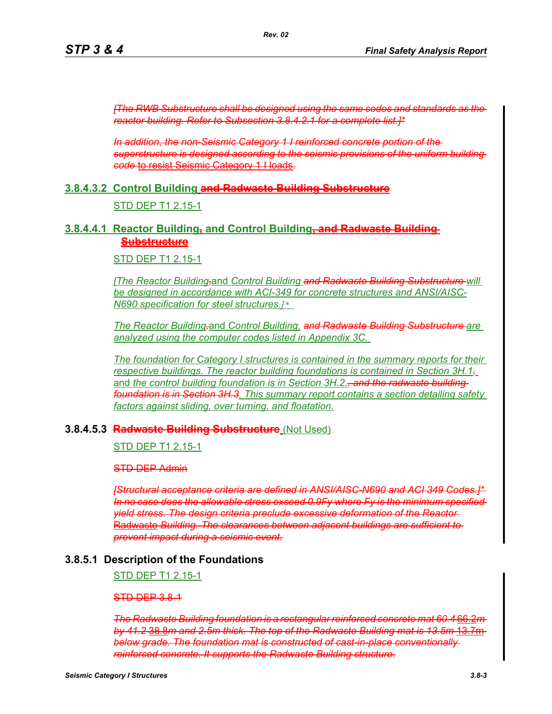*[The RWB Substructure shall be designed using the same codes and standards as the reactor building. Refer to Subsection 3.8.4.2.1 for a complete list.]\**

*In addition, the non-Seismic Category 1 I reinforced concrete portion of the superstructure is designed according to the seismic provisions of the uniform building code* to resist Seismic Category 1 I loads.

### **3.8.4.3.2 Control Building and Radwaste Building Substructure**

#### STD DEP T1 2.15-1

### **3.8.4.4.1 Reactor Building, and Control Building, and Radwaste Building Substructure**

STD DEP T1 2.15-1

*[The Reactor Building,*and *Control Building and Radwaste Building Substructure will be designed in accordance with ACI-349 for concrete structures and ANSI/AISC-N690 specification for steel structures.]\** 

*The Reactor Building,*and *Control Building. and Radwaste Building Substructure are analyzed using the computer codes listed in Appendix 3C.* 

*The foundation for Category I structures is contained in the summary reports for their respective buildings. The reactor building foundations is contained in Section 3H.1,* and the control building foundation is in Section 3H.2.<del>, and the radwaste building</del> *foundation is in Section 3H.3. This summary report contains a section detailing safety factors against sliding, over turning, and floatation.*

#### **3.8.4.5.3 Radwaste Building Substructure** (Not Used)

STD DEP T1 2.15-1

STD DEP Admin

*[Structural acceptance criteria are defined in ANSI/AISC-N690 and ACI 349 Codes.]\* In no case does the allowable stress exceed 0.9Fy where Fy is the minimum specified yield stress. The design criteria preclude excessive deformation of the Reactor* Radwaste *Building. The clearances between adjacent buildings are sufficient to prevent impact during a seismic event.*

### **3.8.5.1 Description of the Foundations**

STD DEP T1 2.15-1

#### STD DEP 3.8-1

*The Radwaste Building foundation is a rectangular reinforced concrete mat 60.4* 66.2*m by 41.2* 38.8*m and 2.5m thick. The top of the Radwaste Building mat is 13.5m* 13.7m *below grade. The foundation mat is constructed of cast-in-place conventionally reinforced concrete. It supports the Radwaste Building structure.*